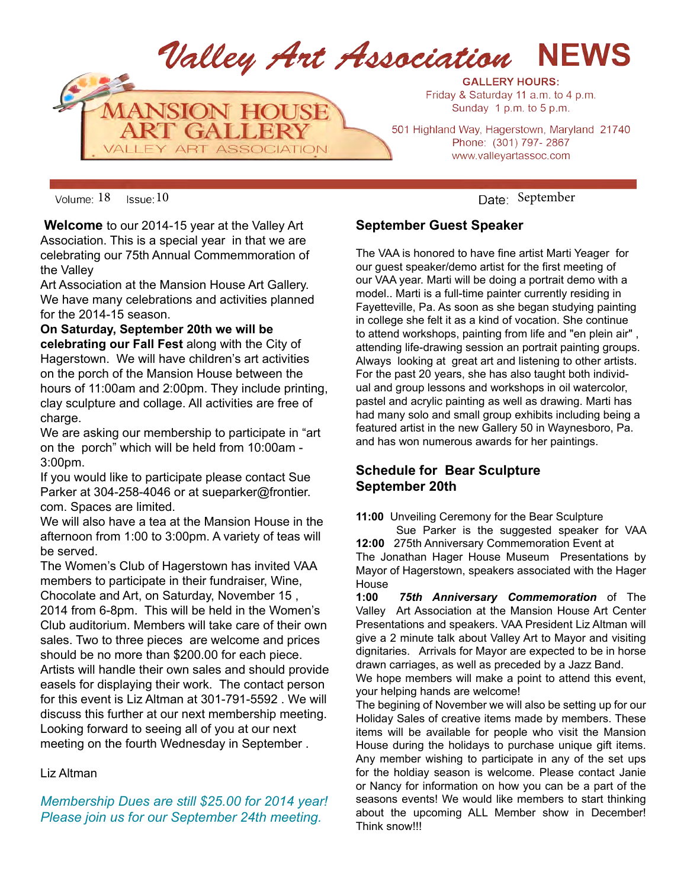

Volume: 18 Issue: 10 Columnistic September

 **Welcome** to our 2014-15 year at the Valley Art Association. This is a special year in that we are celebrating our 75th Annual Commemmoration of the Valley

Art Association at the Mansion House Art Gallery. We have many celebrations and activities planned for the 2014-15 season.

**On Saturday, September 20th we will be celebrating our Fall Fest** along with the City of Hagerstown. We will have children's art activities on the porch of the Mansion House between the hours of 11:00am and 2:00pm. They include printing, clay sculpture and collage. All activities are free of charge.

We are asking our membership to participate in "art on the porch" which will be held from 10:00am - 3:00pm.

If you would like to participate please contact Sue Parker at 304-258-4046 or at sueparker@frontier. com. Spaces are limited.

We will also have a tea at the Mansion House in the afternoon from 1:00 to 3:00pm. A variety of teas will be served.

The Women's Club of Hagerstown has invited VAA members to participate in their fundraiser, Wine, Chocolate and Art, on Saturday, November 15 , 2014 from 6-8pm. This will be held in the Women's Club auditorium. Members will take care of their own sales. Two to three pieces are welcome and prices should be no more than \$200.00 for each piece. Artists will handle their own sales and should provide easels for displaying their work. The contact person for this event is Liz Altman at 301-791-5592 . We will discuss this further at our next membership meeting. Looking forward to seeing all of you at our next meeting on the fourth Wednesday in September .

#### Liz Altman

*Membership Dues are still \$25.00 for 2014 year! Please join us for our September 24th meeting.* 

#### **September Guest Speaker**

The VAA is honored to have fine artist Marti Yeager for our guest speaker/demo artist for the first meeting of our VAA year. Marti will be doing a portrait demo with a model.. Marti is a full-time painter currently residing in Fayetteville, Pa. As soon as she began studying painting in college she felt it as a kind of vocation. She continue to attend workshops, painting from life and "en plein air" , attending life-drawing session an portrait painting groups. Always looking at great art and listening to other artists. For the past 20 years, she has also taught both individual and group lessons and workshops in oil watercolor, pastel and acrylic painting as well as drawing. Marti has had many solo and small group exhibits including being a featured artist in the new Gallery 50 in Waynesboro, Pa. and has won numerous awards for her paintings.

## **Schedule for Bear Sculpture September 20th**

**11:00** Unveiling Ceremony for the Bear Sculpture

Sue Parker is the suggested speaker for VAA **12:00** 275th Anniversary Commemoration Event at The Jonathan Hager House Museum Presentations by Mayor of Hagerstown, speakers associated with the Hager **House** 

**1:00** *75th Anniversary Commemoration* of The Valley Art Association at the Mansion House Art Center Presentations and speakers. VAA President Liz Altman will give a 2 minute talk about Valley Art to Mayor and visiting dignitaries. Arrivals for Mayor are expected to be in horse drawn carriages, as well as preceded by a Jazz Band.

We hope members will make a point to attend this event, your helping hands are welcome!

The begining of November we will also be setting up for our Holiday Sales of creative items made by members. These items will be available for people who visit the Mansion House during the holidays to purchase unique gift items. Any member wishing to participate in any of the set ups for the holdiay season is welcome. Please contact Janie or Nancy for information on how you can be a part of the seasons events! We would like members to start thinking about the upcoming ALL Member show in December! Think snow!!!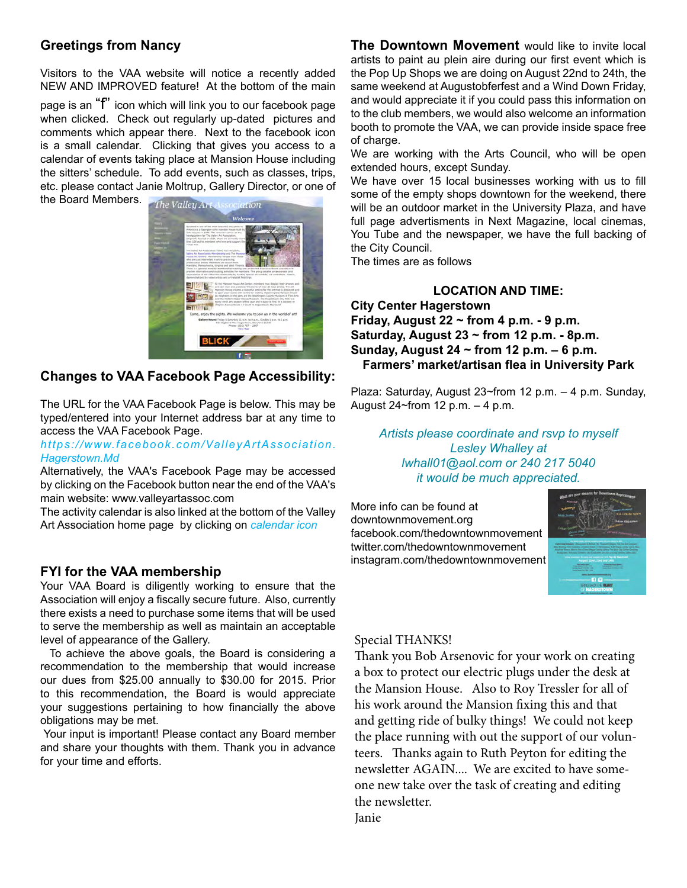## **Greetings from Nancy**

Visitors to the VAA website will notice a recently added NEW AND IMPROVED feature! At the bottom of the main

page is an "f" icon which will link you to our facebook page when clicked. Check out regularly up-dated pictures and comments which appear there. Next to the facebook icon is a small calendar. Clicking that gives you access to a calendar of events taking place at Mansion House including the sitters' schedule. To add events, such as classes, trips, etc. please contact Janie Moltrup, Gallery Director, or one of

the Board Members.



#### **Changes to VAA Facebook Page Accessibility:**

The URL for the VAA Facebook Page is below. This may be typed/entered into your Internet address bar at any time to access the VAA Facebook Page.

#### *https://www.facebook.com/ValleyArtAssociation. Hagerstown.Md*

Alternatively, the VAA's Facebook Page may be accessed by clicking on the Facebook button near the end of the VAA's main website: www.valleyartassoc.com

The activity calendar is also linked at the bottom of the Valley Art Association home page by clicking on *calendar icon*

#### **FYI for the VAA membership**

Your VAA Board is diligently working to ensure that the Association will enjoy a fiscally secure future. Also, currently there exists a need to purchase some items that will be used to serve the membership as well as maintain an acceptable level of appearance of the Gallery.

 To achieve the above goals, the Board is considering a recommendation to the membership that would increase our dues from \$25.00 annually to \$30.00 for 2015. Prior to this recommendation, the Board is would appreciate your suggestions pertaining to how financially the above obligations may be met.

 Your input is important! Please contact any Board member and share your thoughts with them. Thank you in advance for your time and efforts.

**The Downtown Movement** would like to invite local artists to paint au plein aire during our first event which is the Pop Up Shops we are doing on August 22nd to 24th, the same weekend at Augustobferfest and a Wind Down Friday, and would appreciate it if you could pass this information on to the club members, we would also welcome an information booth to promote the VAA, we can provide inside space free of charge.

We are working with the Arts Council, who will be open extended hours, except Sunday.

We have over 15 local businesses working with us to fill some of the empty shops downtown for the weekend, there will be an outdoor market in the University Plaza, and have full page advertisments in Next Magazine, local cinemas, You Tube and the newspaper, we have the full backing of the City Council.

The times are as follows

#### **LOCATION AND TIME: City Center Hagerstown Friday, August 22 ~ from 4 p.m. - 9 p.m. Saturday, August 23 ~ from 12 p.m. - 8p.m. Sunday, August 24 ~ from 12 p.m. – 6 p.m. Farmers' market/artisan flea in University Park**

Plaza: Saturday, August 23~from 12 p.m. – 4 p.m. Sunday, August 24~from 12 p.m. – 4 p.m.

*Artists please coordinate and rsvp to myself Lesley Whalley at lwhall01@aol.com or 240 217 5040 it would be much appreciated.*

More info can be found at downtownmovement.org facebook.com/thedowntownmovement twitter.com/thedowntownmovement instagram.com/thedowntownmovement



#### Special THANKS!

Thank you Bob Arsenovic for your work on creating a box to protect our electric plugs under the desk at the Mansion House. Also to Roy Tressler for all of his work around the Mansion fixing this and that and getting ride of bulky things! We could not keep the place running with out the support of our volunteers. Thanks again to Ruth Peyton for editing the newsletter AGAIN.... We are excited to have someone new take over the task of creating and editing the newsletter.

Janie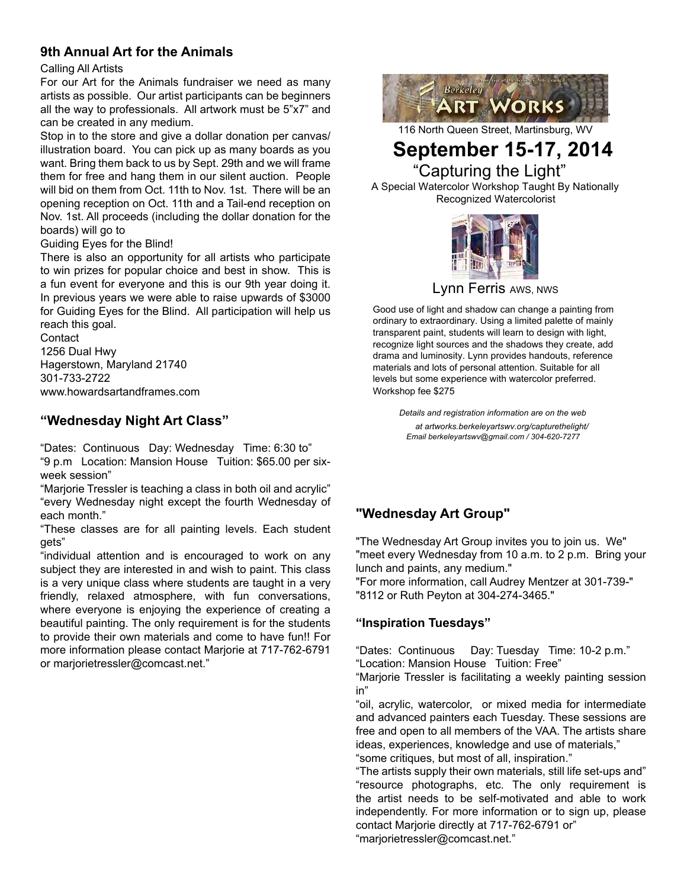## **9th Annual Art for the Animals**

#### Calling All Artists

For our Art for the Animals fundraiser we need as many artists as possible. Our artist participants can be beginners all the way to professionals. All artwork must be 5"x7" and can be created in any medium.

Stop in to the store and give a dollar donation per canvas/ illustration board. You can pick up as many boards as you want. Bring them back to us by Sept. 29th and we will frame them for free and hang them in our silent auction. People will bid on them from Oct. 11th to Nov. 1st. There will be an opening reception on Oct. 11th and a Tail-end reception on Nov. 1st. All proceeds (including the dollar donation for the boards) will go to

#### Guiding Eyes for the Blind!

There is also an opportunity for all artists who participate to win prizes for popular choice and best in show. This is a fun event for everyone and this is our 9th year doing it. In previous years we were able to raise upwards of \$3000 for Guiding Eyes for the Blind. All participation will help us reach this goal.

**Contact** 1256 Dual Hwy Hagerstown, Maryland 21740 301-733-2722 www.howardsartandframes.com

## **"Wednesday Night Art Class"**

"Dates: Continuous Day: Wednesday Time: 6:30 to" "9 p.m Location: Mansion House Tuition: \$65.00 per sixweek session"

"Marjorie Tressler is teaching a class in both oil and acrylic" "every Wednesday night except the fourth Wednesday of each month."

"These classes are for all painting levels. Each student gets"

"individual attention and is encouraged to work on any subject they are interested in and wish to paint. This class is a very unique class where students are taught in a very friendly, relaxed atmosphere, with fun conversations, where everyone is enjoying the experience of creating a beautiful painting. The only requirement is for the students to provide their own materials and come to have fun!! For more information please contact Marjorie at 717-762-6791 or marjorietressler@comcast.net."



116 North Queen Street, Martinsburg, WV

## **September 15-17, 2014** "Capturing the Light"

A Special Watercolor Workshop Taught By Nationally Recognized Watercolorist



Lynn Ferris AWS, NWS

Good use of light and shadow can change a painting from ordinary to extraordinary. Using a limited palette of mainly transparent paint, students will learn to design with light, recognize light sources and the shadows they create, add drama and luminosity. Lynn provides handouts, reference materials and lots of personal attention. Suitable for all levels but some experience with watercolor preferred. Workshop fee \$275

> *Details and registration information are on the web at artworks.berkeleyartswv.org/capturethelight/ Email berkeleyartswv@gmail.com / 304-620-7277*

## **"Wednesday Art Group"**

"The Wednesday Art Group invites you to join us. We" "meet every Wednesday from 10 a.m. to 2 p.m. Bring your lunch and paints, any medium."

"For more information, call Audrey Mentzer at 301-739-" "8112 or Ruth Peyton at 304-274-3465."

## **"Inspiration Tuesdays"**

"Dates: Continuous Day: Tuesday Time: 10-2 p.m." "Location: Mansion House Tuition: Free"

"Marjorie Tressler is facilitating a weekly painting session in"

"oil, acrylic, watercolor, or mixed media for intermediate and advanced painters each Tuesday. These sessions are free and open to all members of the VAA. The artists share ideas, experiences, knowledge and use of materials,"

"some critiques, but most of all, inspiration."

"The artists supply their own materials, still life set-ups and" "resource photographs, etc. The only requirement is the artist needs to be self-motivated and able to work independently. For more information or to sign up, please contact Marjorie directly at 717-762-6791 or" "marjorietressler@comcast.net."